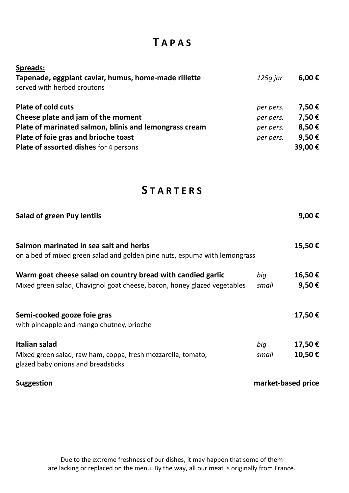# **T A P A S**

| <b>Spreads:</b>                                                                     |           |        |
|-------------------------------------------------------------------------------------|-----------|--------|
| Tapenade, eggplant caviar, humus, home-made rillette<br>served with herbed croutons | 125g jar  | 6,00 € |
| <b>Plate of cold cuts</b>                                                           | per pers. | 7,50€  |
| Cheese plate and jam of the moment                                                  | per pers. | 7,50€  |
| Plate of marinated salmon, blinis and lemongrass cream                              | per pers. | 8,50€  |
| Plate of foie gras and brioche toast                                                | per pers. | 9,50€  |
| <b>Plate of assorted dishes for 4 persons</b>                                       |           | 39,00€ |

### **S T A R T E R S**

| <b>Salad of green Puy lentils</b>                                                                                                       |                    | 9,00 €           |
|-----------------------------------------------------------------------------------------------------------------------------------------|--------------------|------------------|
| Salmon marinated in sea salt and herbs<br>on a bed of mixed green salad and golden pine nuts, espuma with lemongrass                    |                    | 15,50€           |
| Warm goat cheese salad on country bread with candied garlic<br>Mixed green salad, Chavignol goat cheese, bacon, honey glazed vegetables | biq<br>small       | 16,50€<br>9,50€  |
| Semi-cooked gooze foie gras<br>with pineapple and mango chutney, brioche                                                                |                    | 17,50€           |
| Italian salad<br>Mixed green salad, raw ham, coppa, fresh mozzarella, tomato,<br>glazed baby onions and breadsticks                     | big<br>small       | 17,50€<br>10,50€ |
| <b>Suggestion</b>                                                                                                                       | market-based price |                  |

Due to the extreme freshness of our dishes, it may happen that some of them are lacking or replaced on the menu. By the way, all our meat is originally from France.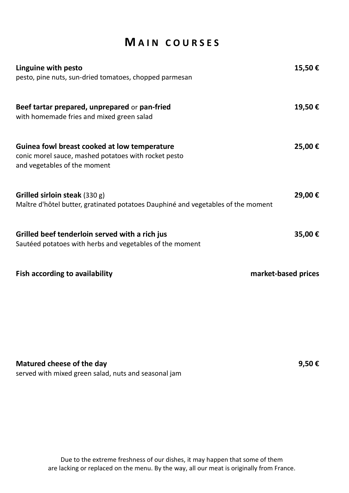### **M A I N C O U R S E S**

| Linguine with pesto                                                                                                                  | 15,50€              |
|--------------------------------------------------------------------------------------------------------------------------------------|---------------------|
| pesto, pine nuts, sun-dried tomatoes, chopped parmesan                                                                               |                     |
| Beef tartar prepared, unprepared or pan-fried<br>with homemade fries and mixed green salad                                           | 19,50€              |
|                                                                                                                                      |                     |
| Guinea fowl breast cooked at low temperature<br>conic morel sauce, mashed potatoes with rocket pesto<br>and vegetables of the moment | 25,00 €             |
| Grilled sirloin steak $(330 g)$<br>Maître d'hôtel butter, gratinated potatoes Dauphiné and vegetables of the moment                  | 29,00€              |
| Grilled beef tenderloin served with a rich jus<br>Sautéed potatoes with herbs and vegetables of the moment                           | 35,00€              |
| <b>Fish according to availability</b>                                                                                                | market-based prices |

**Matured cheese of the day 9,50 €**

served with mixed green salad, nuts and seasonal jam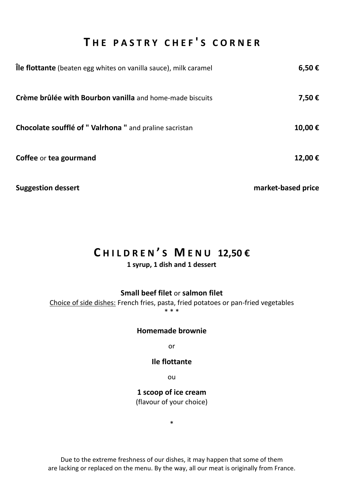## **T H E P A S T R Y C H E F ' S C O R N E R**

| <b>Île flottante</b> (beaten egg whites on vanilla sauce), milk caramel | 6,50€              |
|-------------------------------------------------------------------------|--------------------|
| Crème brûlée with Bourbon vanilla and home-made biscuits                | 7,50€              |
| Chocolate soufflé of "Valrhona " and praline sacristan                  | 10,00€             |
| Coffee or tea gourmand                                                  | 12,00€             |
| <b>Suggestion dessert</b>                                               | market-based price |

### **C H I L D R E N ' S M E N U 12,50 €**

### **1 syrup, 1 dish and 1 dessert**

**Small beef filet** or **salmon filet**

Choice of side dishes: French fries, pasta, fried potatoes or pan-fried vegetables \* \* \*

#### **Homemade brownie**

or

#### **Ile flottante**

ou

**1 scoop of ice cream** (flavour of your choice)

\*

Due to the extreme freshness of our dishes, it may happen that some of them are lacking or replaced on the menu. By the way, all our meat is originally from France.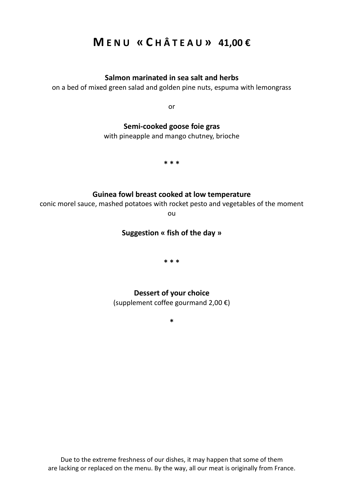## **M E N U « C H Â T E A U » 41,00 €**

#### **Salmon marinated in sea salt and herbs**

on a bed of mixed green salad and golden pine nuts, espuma with lemongrass

or

### **Semi-cooked goose foie gras**

with pineapple and mango chutney, brioche

**\* \* \***

#### **Guinea fowl breast cooked at low temperature**

conic morel sauce, mashed potatoes with rocket pesto and vegetables of the moment

ou

### **Suggestion « fish of the day »**

**\* \* \***

### **Dessert of your choice**

(supplement coffee gourmand 2,00 €)

**\***